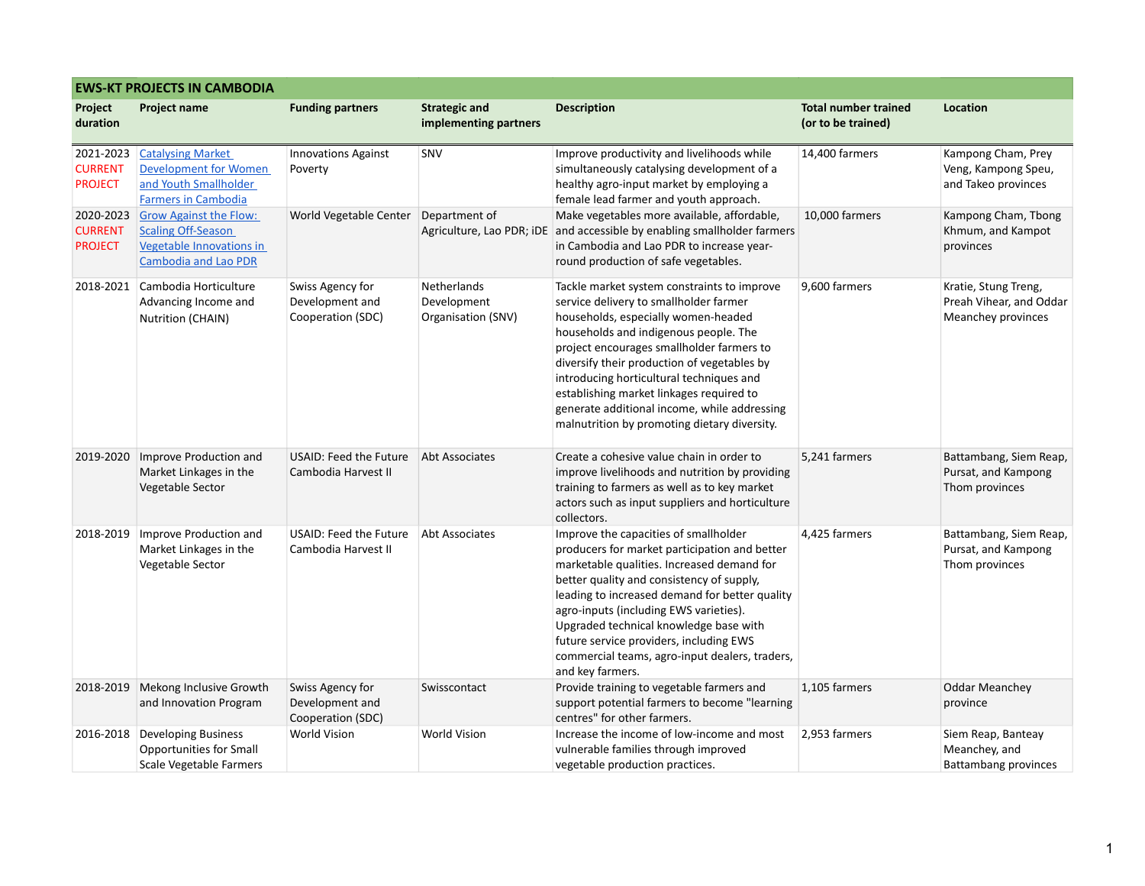| <b>EWS-KT PROJECTS IN CAMBODIA</b>            |                                                                                                                       |                                                          |                                                  |                                                                                                                                                                                                                                                                                                                                                                                                                                                           |                                                   |                                                                       |  |  |  |  |
|-----------------------------------------------|-----------------------------------------------------------------------------------------------------------------------|----------------------------------------------------------|--------------------------------------------------|-----------------------------------------------------------------------------------------------------------------------------------------------------------------------------------------------------------------------------------------------------------------------------------------------------------------------------------------------------------------------------------------------------------------------------------------------------------|---------------------------------------------------|-----------------------------------------------------------------------|--|--|--|--|
| Project<br>duration                           | <b>Project name</b>                                                                                                   | <b>Funding partners</b>                                  | <b>Strategic and</b><br>implementing partners    | <b>Description</b>                                                                                                                                                                                                                                                                                                                                                                                                                                        | <b>Total number trained</b><br>(or to be trained) | Location                                                              |  |  |  |  |
| 2021-2023<br><b>CURRENT</b><br><b>PROJECT</b> | <b>Catalysing Market</b><br><b>Development for Women</b><br>and Youth Smallholder<br><b>Farmers in Cambodia</b>       | <b>Innovations Against</b><br>Poverty                    | SNV                                              | Improve productivity and livelihoods while<br>simultaneously catalysing development of a<br>healthy agro-input market by employing a<br>female lead farmer and youth approach.                                                                                                                                                                                                                                                                            | 14,400 farmers                                    | Kampong Cham, Prey<br>Veng, Kampong Speu,<br>and Takeo provinces      |  |  |  |  |
| 2020-2023<br><b>CURRENT</b><br><b>PROJECT</b> | <b>Grow Against the Flow:</b><br><b>Scaling Off-Season</b><br>Vegetable Innovations in<br><b>Cambodia and Lao PDR</b> | World Vegetable Center                                   | Department of                                    | Make vegetables more available, affordable,<br>Agriculture, Lao PDR; iDE and accessible by enabling smallholder farmers<br>in Cambodia and Lao PDR to increase year-<br>round production of safe vegetables.                                                                                                                                                                                                                                              | 10,000 farmers                                    | Kampong Cham, Tbong<br>Khmum, and Kampot<br>provinces                 |  |  |  |  |
| 2018-2021                                     | Cambodia Horticulture<br>Advancing Income and<br>Nutrition (CHAIN)                                                    | Swiss Agency for<br>Development and<br>Cooperation (SDC) | Netherlands<br>Development<br>Organisation (SNV) | Tackle market system constraints to improve<br>service delivery to smallholder farmer<br>households, especially women-headed<br>households and indigenous people. The<br>project encourages smallholder farmers to<br>diversify their production of vegetables by<br>introducing horticultural techniques and<br>establishing market linkages required to<br>generate additional income, while addressing<br>malnutrition by promoting dietary diversity. | 9,600 farmers                                     | Kratie, Stung Treng,<br>Preah Vihear, and Oddar<br>Meanchey provinces |  |  |  |  |
| 2019-2020                                     | Improve Production and<br>Market Linkages in the<br>Vegetable Sector                                                  | USAID: Feed the Future<br>Cambodia Harvest II            | Abt Associates                                   | Create a cohesive value chain in order to<br>improve livelihoods and nutrition by providing<br>training to farmers as well as to key market<br>actors such as input suppliers and horticulture<br>collectors.                                                                                                                                                                                                                                             | 5,241 farmers                                     | Battambang, Siem Reap,<br>Pursat, and Kampong<br>Thom provinces       |  |  |  |  |
| 2018-2019                                     | Improve Production and<br>Market Linkages in the<br>Vegetable Sector                                                  | USAID: Feed the Future<br>Cambodia Harvest II            | Abt Associates                                   | Improve the capacities of smallholder<br>producers for market participation and better<br>marketable qualities. Increased demand for<br>better quality and consistency of supply,<br>leading to increased demand for better quality<br>agro-inputs (including EWS varieties).<br>Upgraded technical knowledge base with<br>future service providers, including EWS<br>commercial teams, agro-input dealers, traders,<br>and key farmers.                  | 4,425 farmers                                     | Battambang, Siem Reap,<br>Pursat, and Kampong<br>Thom provinces       |  |  |  |  |
| 2018-2019                                     | Mekong Inclusive Growth<br>and Innovation Program                                                                     | Swiss Agency for<br>Development and<br>Cooperation (SDC) | Swisscontact                                     | Provide training to vegetable farmers and<br>support potential farmers to become "learning<br>centres" for other farmers.                                                                                                                                                                                                                                                                                                                                 | 1,105 farmers                                     | <b>Oddar Meanchey</b><br>province                                     |  |  |  |  |
| 2016-2018                                     | Developing Business<br>Opportunities for Small<br>Scale Vegetable Farmers                                             | <b>World Vision</b>                                      | <b>World Vision</b>                              | Increase the income of low-income and most<br>vulnerable families through improved<br>vegetable production practices.                                                                                                                                                                                                                                                                                                                                     | 2,953 farmers                                     | Siem Reap, Banteay<br>Meanchey, and<br><b>Battambang provinces</b>    |  |  |  |  |